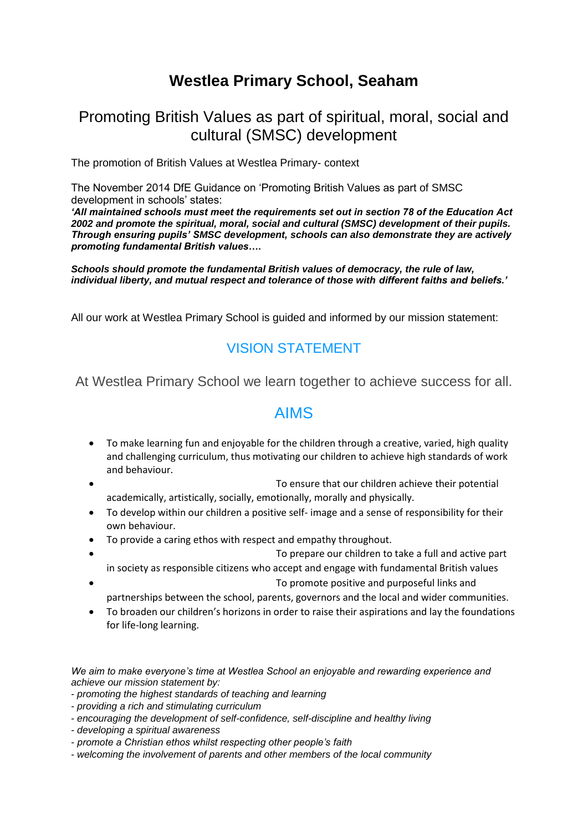# **Westlea Primary School, Seaham**

## Promoting British Values as part of spiritual, moral, social and cultural (SMSC) development

The promotion of British Values at Westlea Primary- context

The November 2014 DfE Guidance on 'Promoting British Values as part of SMSC development in schools' states:

*'All maintained schools must meet the requirements set out in section 78 of the Education Act 2002 and promote the spiritual, moral, social and cultural (SMSC) development of their pupils. Through ensuring pupils' SMSC development, schools can also demonstrate they are actively promoting fundamental British values….* 

*Schools should promote the fundamental British values of democracy, the rule of law, individual liberty, and mutual respect and tolerance of those with different faiths and beliefs.'* 

All our work at Westlea Primary School is guided and informed by our mission statement:

### VISION STATEMENT

At Westlea Primary School we learn together to achieve success for all.

### AIMS

- To make learning fun and enjoyable for the children through a creative, varied, high quality and challenging curriculum, thus motivating our children to achieve high standards of work and behaviour.
- To ensure that our children achieve their potential academically, artistically, socially, emotionally, morally and physically.
- To develop within our children a positive self- image and a sense of responsibility for their own behaviour.
- To provide a caring ethos with respect and empathy throughout.
	- To prepare our children to take a full and active part in society as responsible citizens who accept and engage with fundamental British values
- To promote positive and purposeful links and
- partnerships between the school, parents, governors and the local and wider communities. • To broaden our children's horizons in order to raise their aspirations and lay the foundations
- for life-long learning.

*We aim to make everyone's time at Westlea School an enjoyable and rewarding experience and achieve our mission statement by:* 

- *promoting the highest standards of teaching and learning*
- *providing a rich and stimulating curriculum*
- *encouraging the development of self-confidence, self-discipline and healthy living*
- *developing a spiritual awareness*
- *promote a Christian ethos whilst respecting other people's faith*
- *welcoming the involvement of parents and other members of the local community*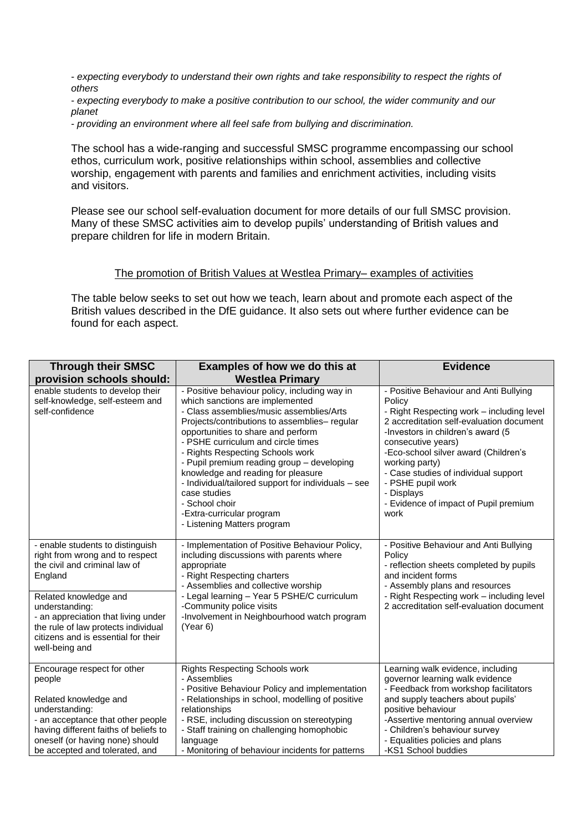- *expecting everybody to understand their own rights and take responsibility to respect the rights of others* 

- *expecting everybody to make a positive contribution to our school, the wider community and our planet* 

- *providing an environment where all feel safe from bullying and discrimination.* 

The school has a wide-ranging and successful SMSC programme encompassing our school ethos, curriculum work, positive relationships within school, assemblies and collective worship, engagement with parents and families and enrichment activities, including visits and visitors.

Please see our school self-evaluation document for more details of our full SMSC provision. Many of these SMSC activities aim to develop pupils' understanding of British values and prepare children for life in modern Britain.

#### The promotion of British Values at Westlea Primary– examples of activities

The table below seeks to set out how we teach, learn about and promote each aspect of the British values described in the DfE guidance. It also sets out where further evidence can be found for each aspect.

| <b>Through their SMSC</b>                                                                                                                                                                                                                                                                         | Examples of how we do this at                                                                                                                                                                                                                                                                                                                                                                                                                                                                                                          | <b>Evidence</b>                                                                                                                                                                                                                                                                                                                                                                            |
|---------------------------------------------------------------------------------------------------------------------------------------------------------------------------------------------------------------------------------------------------------------------------------------------------|----------------------------------------------------------------------------------------------------------------------------------------------------------------------------------------------------------------------------------------------------------------------------------------------------------------------------------------------------------------------------------------------------------------------------------------------------------------------------------------------------------------------------------------|--------------------------------------------------------------------------------------------------------------------------------------------------------------------------------------------------------------------------------------------------------------------------------------------------------------------------------------------------------------------------------------------|
| provision schools should:                                                                                                                                                                                                                                                                         | <b>Westlea Primary</b>                                                                                                                                                                                                                                                                                                                                                                                                                                                                                                                 |                                                                                                                                                                                                                                                                                                                                                                                            |
| enable students to develop their<br>self-knowledge, self-esteem and<br>self-confidence                                                                                                                                                                                                            | - Positive behaviour policy, including way in<br>which sanctions are implemented<br>- Class assemblies/music assemblies/Arts<br>Projects/contributions to assemblies- regular<br>opportunities to share and perform<br>- PSHE curriculum and circle times<br>- Rights Respecting Schools work<br>- Pupil premium reading group - developing<br>knowledge and reading for pleasure<br>- Individual/tailored support for individuals - see<br>case studies<br>- School choir<br>-Extra-curricular program<br>- Listening Matters program | - Positive Behaviour and Anti Bullying<br>Policy<br>- Right Respecting work - including level<br>2 accreditation self-evaluation document<br>-Investors in children's award (5<br>consecutive years)<br>-Eco-school silver award (Children's<br>working party)<br>- Case studies of individual support<br>- PSHE pupil work<br>- Displays<br>- Evidence of impact of Pupil premium<br>work |
| - enable students to distinguish<br>right from wrong and to respect<br>the civil and criminal law of<br>England<br>Related knowledge and<br>understanding:<br>- an appreciation that living under<br>the rule of law protects individual<br>citizens and is essential for their<br>well-being and | - Implementation of Positive Behaviour Policy,<br>including discussions with parents where<br>appropriate<br>- Right Respecting charters<br>- Assemblies and collective worship<br>- Legal learning - Year 5 PSHE/C curriculum<br>-Community police visits<br>-Involvement in Neighbourhood watch program<br>(Year 6)                                                                                                                                                                                                                  | - Positive Behaviour and Anti Bullying<br>Policy<br>- reflection sheets completed by pupils<br>and incident forms<br>- Assembly plans and resources<br>- Right Respecting work - including level<br>2 accreditation self-evaluation document                                                                                                                                               |
| Encourage respect for other<br>people<br>Related knowledge and<br>understanding:<br>- an acceptance that other people<br>having different faiths of beliefs to<br>oneself (or having none) should<br>be accepted and tolerated, and                                                               | <b>Rights Respecting Schools work</b><br>- Assemblies<br>- Positive Behaviour Policy and implementation<br>- Relationships in school, modelling of positive<br>relationships<br>- RSE, including discussion on stereotyping<br>- Staff training on challenging homophobic<br>language<br>- Monitoring of behaviour incidents for patterns                                                                                                                                                                                              | Learning walk evidence, including<br>governor learning walk evidence<br>- Feedback from workshop facilitators<br>and supply teachers about pupils'<br>positive behaviour<br>-Assertive mentoring annual overview<br>- Children's behaviour survey<br>- Equalities policies and plans<br>-KS1 School buddies                                                                                |